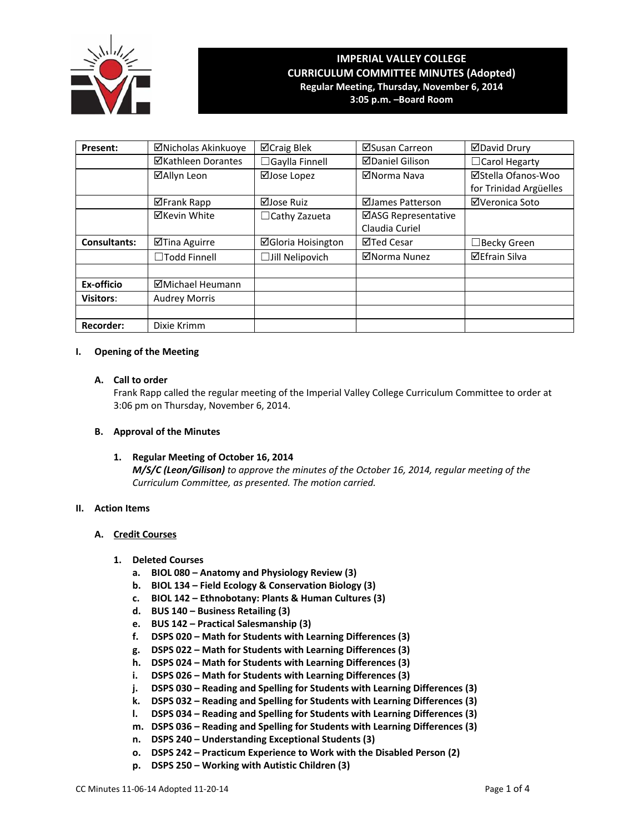

# **IMPERIAL VALLEY COLLEGE CURRICULUM COMMITTEE MINUTES (Adopted) Regular Meeting, Thursday, November 6, 2014**

**3:05 p.m. –Board Room**

| Present:            | ⊠Nicholas Akinkuoye       | <b>⊠Craig Blek</b>        | ⊠Susan Carreon         | <b>⊠David Drury</b>    |
|---------------------|---------------------------|---------------------------|------------------------|------------------------|
|                     | <b>⊠Kathleen Dorantes</b> | □Gaylla Finnell           | <b>ØDaniel Gilison</b> | $\Box$ Carol Hegarty   |
|                     | ⊠Allyn Leon               | ⊠Jose Lopez               | ⊠Norma Nava            | ⊠Stella Ofanos-Woo     |
|                     |                           |                           |                        | for Trinidad Argüelles |
|                     | ⊠Frank Rapp               | ⊠Jose Ruiz                | ⊠James Patterson       | ⊠Veronica Soto         |
|                     | <b>⊠Kevin White</b>       | $\Box$ Cathy Zazueta      | ⊠ASG Representative    |                        |
|                     |                           |                           | Claudia Curiel         |                        |
| <b>Consultants:</b> | ⊠Tina Aguirre             | <b>⊠Gloria Hoisington</b> | <b>⊠Ted Cesar</b>      | $\Box$ Becky Green     |
|                     | $\Box$ Todd Finnell       | $\Box$ Jill Nelipovich    | ⊠Norma Nunez           | <b>⊠Efrain Silva</b>   |
|                     |                           |                           |                        |                        |
| Ex-officio          | ⊠Michael Heumann          |                           |                        |                        |
| <b>Visitors:</b>    | <b>Audrey Morris</b>      |                           |                        |                        |
|                     |                           |                           |                        |                        |
| <b>Recorder:</b>    | Dixie Krimm               |                           |                        |                        |

## **I. Opening of the Meeting**

## **A. Call to order**

Frank Rapp called the regular meeting of the Imperial Valley College Curriculum Committee to order at 3:06 pm on Thursday, November 6, 2014.

## **B. Approval of the Minutes**

 **1. Regular Meeting of October 16, 2014** *M/S/C (Leon/Gilison) to approve the minutes of the October 16, 2014, regular meeting of the Curriculum Committee, as presented. The motion carried.*

## **II. Action Items**

#### **A. Credit Courses**

#### **1. Deleted Courses**

- **a. BIOL 080 – Anatomy and Physiology Review (3)**
- **b. BIOL 134 – Field Ecology & Conservation Biology (3)**
- **c. BIOL 142 – Ethnobotany: Plants & Human Cultures (3)**
- **d. BUS 140 – Business Retailing (3)**
- **e. BUS 142 – Practical Salesmanship (3)**
- **f. DSPS 020 – Math for Students with Learning Differences (3)**
- **g. DSPS 022 – Math for Students with Learning Differences (3)**
- **h. DSPS 024 – Math for Students with Learning Differences (3)**
- **i. DSPS 026 – Math for Students with Learning Differences (3)**
- **j. DSPS 030 – Reading and Spelling for Students with Learning Differences (3)**
- **k. DSPS 032 – Reading and Spelling for Students with Learning Differences (3)**
- **l. DSPS 034 – Reading and Spelling for Students with Learning Differences (3)**
- **m. DSPS 036 – Reading and Spelling for Students with Learning Differences (3)**
- **n. DSPS 240 – Understanding Exceptional Students (3)**
- **o. DSPS 242 – Practicum Experience to Work with the Disabled Person (2)**
- **p. DSPS 250 – Working with Autistic Children (3)**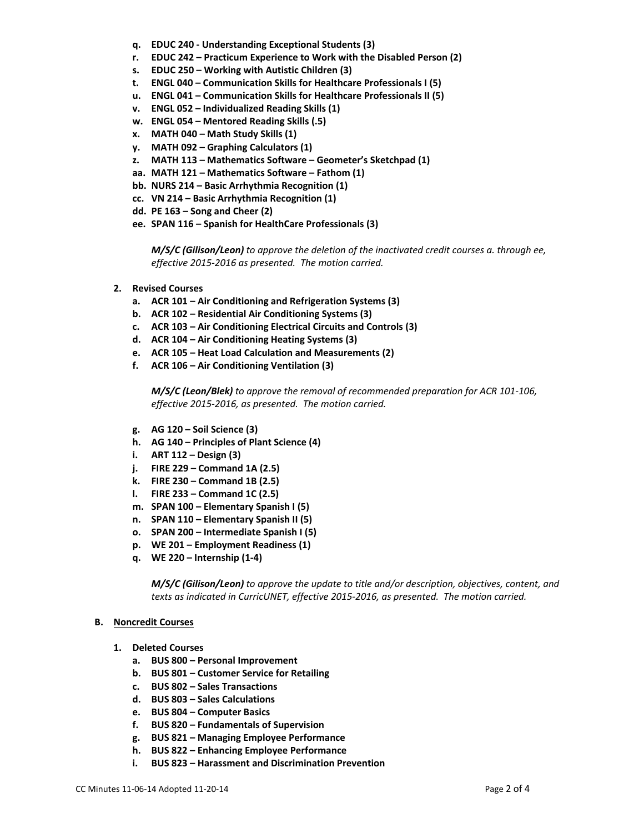- **q. EDUC 240 ‐ Understanding Exceptional Students (3)**
- **r. EDUC 242 – Practicum Experience to Work with the Disabled Person (2)**
- **s. EDUC 250 – Working with Autistic Children (3)**
- **t. ENGL 040 – Communication Skills for Healthcare Professionals I (5)**
- **u. ENGL 041 – Communication Skills for Healthcare Professionals II (5)**
- **v. ENGL 052 – Individualized Reading Skills (1)**
- **w. ENGL 054 – Mentored Reading Skills (.5)**
- **x. MATH 040 – Math Study Skills (1)**
- **y. MATH 092 – Graphing Calculators (1)**
- **z. MATH 113 – Mathematics Software – Geometer's Sketchpad (1)**
- **aa. MATH 121 – Mathematics Software – Fathom (1)**
- **bb. NURS 214 – Basic Arrhythmia Recognition (1)**
- **cc. VN 214 – Basic Arrhythmia Recognition (1)**
- **dd. PE 163 – Song and Cheer (2)**
- **ee. SPAN 116 – Spanish for HealthCare Professionals (3)**

*M/S/C (Gilison/Leon) to approve the deletion of the inactivated credit courses a. through ee, effective 2015‐2016 as presented. The motion carried.*

- **2. Revised Courses**
	- **a. ACR 101 – Air Conditioning and Refrigeration Systems (3)**
	- **b. ACR 102 – Residential Air Conditioning Systems (3)**
	- **c. ACR 103 – Air Conditioning Electrical Circuits and Controls (3)**
	- **d. ACR 104 – Air Conditioning Heating Systems (3)**
	- **e. ACR 105 – Heat Load Calculation and Measurements (2)**
	- **f. ACR 106 – Air Conditioning Ventilation (3)**

*M/S/C (Leon/Blek) to approve the removal of recommended preparation for ACR 101‐106, effective 2015‐2016, as presented. The motion carried.*

- **g. AG 120 – Soil Science (3)**
- **h. AG 140 – Principles of Plant Science (4)**
- **i. ART 112 – Design (3)**
- **j. FIRE 229 – Command 1A (2.5)**
- **k. FIRE 230 – Command 1B (2.5)**
- **l. FIRE 233 – Command 1C (2.5)**
- **m. SPAN 100 – Elementary Spanish I (5)**
- **n. SPAN 110 – Elementary Spanish II (5)**
- **o. SPAN 200 – Intermediate Spanish I (5)**
- **p. WE 201 – Employment Readiness (1)**
- **q. WE 220 – Internship (1‐4)**

*M/S/C (Gilison/Leon) to approve the update to title and/or description, objectives, content, and texts as indicated in CurricUNET, effective 2015‐2016, as presented. The motion carried.*

#### **B. Noncredit Courses**

- **1. Deleted Courses** 
	- **a. BUS 800 – Personal Improvement**
	- **b. BUS 801 – Customer Service for Retailing**
	- **c. BUS 802 – Sales Transactions**
	- **d. BUS 803 – Sales Calculations**
	- **e. BUS 804 – Computer Basics**
	- **f. BUS 820 – Fundamentals of Supervision**
	- **g. BUS 821 – Managing Employee Performance**
	- **h. BUS 822 – Enhancing Employee Performance**
	- **i. BUS 823 – Harassment and Discrimination Prevention**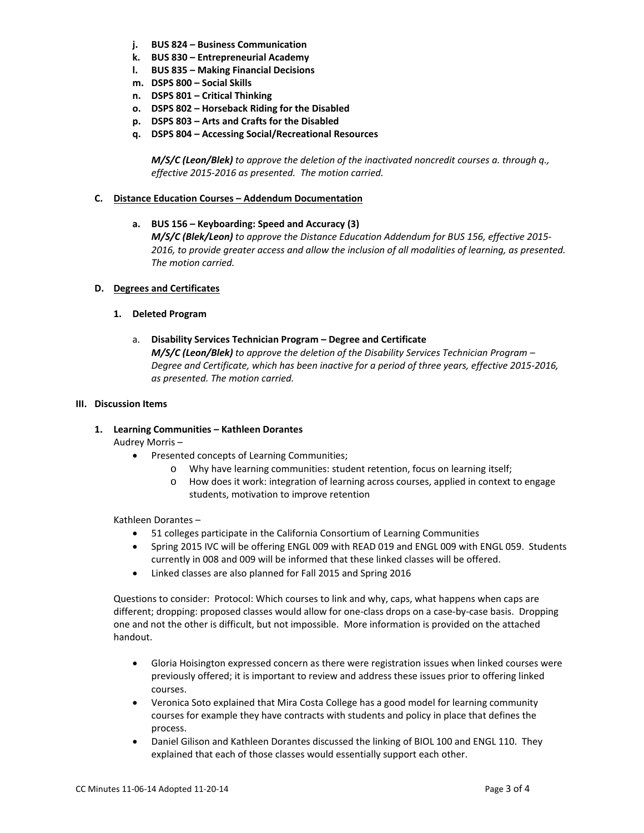- **j. BUS 824 – Business Communication**
- **k. BUS 830 – Entrepreneurial Academy**
- **l. BUS 835 – Making Financial Decisions**
- **m. DSPS 800 – Social Skills**
- **n. DSPS 801 – Critical Thinking**
- **o. DSPS 802 – Horseback Riding for the Disabled**
- **p. DSPS 803 – Arts and Crafts for the Disabled**
- **q. DSPS 804 – Accessing Social/Recreational Resources**

*M/S/C (Leon/Blek) to approve the deletion of the inactivated noncredit courses a. through q., effective 2015‐2016 as presented. The motion carried.*

## **C. Distance Education Courses – Addendum Documentation**

 **a. BUS 156 – Keyboarding: Speed and Accuracy (3)**

*M/S/C (Blek/Leon) to approve the Distance Education Addendum for BUS 156, effective 2015‐ 2016, to provide greater access and allow the inclusion of all modalities of learning, as presented. The motion carried.*

## **D. Degrees and Certificates**

## **1. Deleted Program**

a. **Disability Services Technician Program – Degree and Certificate** *M/S/C (Leon/Blek) to approve the deletion of the Disability Services Technician Program – Degree and Certificate, which has been inactive for a period of three years, effective 2015‐2016, as presented. The motion carried.*

## **III. Discussion Items**

**1. Learning Communities – Kathleen Dorantes**

Audrey Morris –

- Presented concepts of Learning Communities;
	- o Why have learning communities: student retention, focus on learning itself;
	- o How does it work: integration of learning across courses, applied in context to engage students, motivation to improve retention

Kathleen Dorantes –

- 51 colleges participate in the California Consortium of Learning Communities
- Spring 2015 IVC will be offering ENGL 009 with READ 019 and ENGL 009 with ENGL 059. Students currently in 008 and 009 will be informed that these linked classes will be offered.
- Linked classes are also planned for Fall 2015 and Spring 2016

Questions to consider: Protocol: Which courses to link and why, caps, what happens when caps are different; dropping: proposed classes would allow for one‐class drops on a case‐by‐case basis. Dropping one and not the other is difficult, but not impossible. More information is provided on the attached handout.

- Gloria Hoisington expressed concern as there were registration issues when linked courses were previously offered; it is important to review and address these issues prior to offering linked courses.
- Veronica Soto explained that Mira Costa College has a good model for learning community courses for example they have contracts with students and policy in place that defines the process.
- Daniel Gilison and Kathleen Dorantes discussed the linking of BIOL 100 and ENGL 110. They explained that each of those classes would essentially support each other.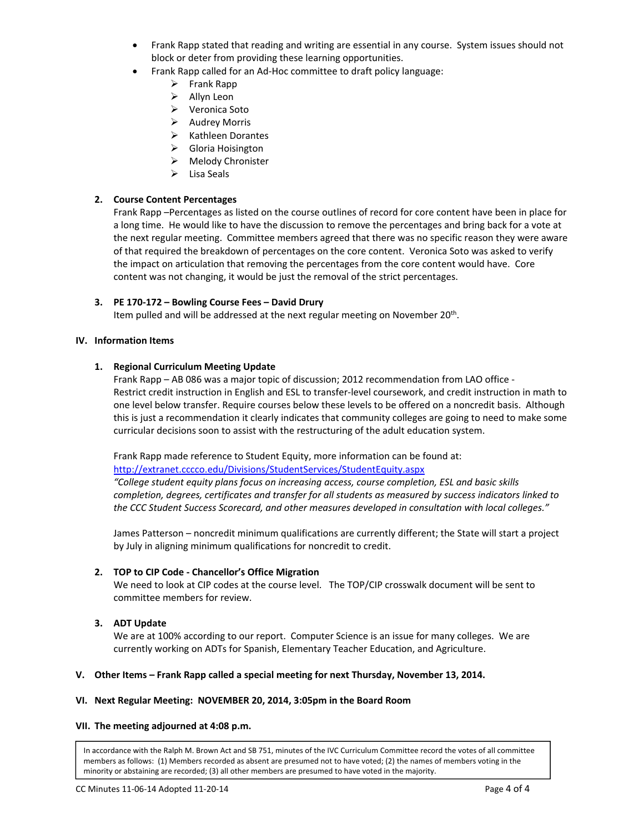- Frank Rapp stated that reading and writing are essential in any course. System issues should not block or deter from providing these learning opportunities.
- Frank Rapp called for an Ad‐Hoc committee to draft policy language:
	- $\triangleright$  Frank Rapp
	- $\triangleright$  Allyn Leon
	- Veronica Soto
	- $\triangleright$  Audrey Morris
	- $\triangleright$  Kathleen Dorantes
	- ▶ Gloria Hoisington
	- > Melody Chronister
	- $\triangleright$  Lisa Seals

## **2. Course Content Percentages**

Frank Rapp –Percentages as listed on the course outlines of record for core content have been in place for a long time. He would like to have the discussion to remove the percentages and bring back for a vote at the next regular meeting. Committee members agreed that there was no specific reason they were aware of that required the breakdown of percentages on the core content. Veronica Soto was asked to verify the impact on articulation that removing the percentages from the core content would have. Core content was not changing, it would be just the removal of the strict percentages.

## **3. PE 170‐172 – Bowling Course Fees – David Drury**

Item pulled and will be addressed at the next regular meeting on November 20<sup>th</sup>.

#### **IV. Information Items**

## **1. Regional Curriculum Meeting Update**

Frank Rapp – AB 086 was a major topic of discussion; 2012 recommendation from LAO office ‐ Restrict credit instruction in English and ESL to transfer‐level coursework, and credit instruction in math to one level below transfer. Require courses below these levels to be offered on a noncredit basis. Although this is just a recommendation it clearly indicates that community colleges are going to need to make some curricular decisions soon to assist with the restructuring of the adult education system.

Frank Rapp made reference to Student Equity, more information can be found at:

http://extranet.cccco.edu/Divisions/StudentServices/StudentEquity.aspx

*"College student equity plans focus on increasing access, course completion, ESL and basic skills completion, degrees, certificates and transfer for all students as measured by success indicators linked to the CCC Student Success Scorecard, and other measures developed in consultation with local colleges."*

James Patterson – noncredit minimum qualifications are currently different; the State will start a project by July in aligning minimum qualifications for noncredit to credit.

#### **2. TOP to CIP Code ‐ Chancellor's Office Migration**

We need to look at CIP codes at the course level. The TOP/CIP crosswalk document will be sent to committee members for review.

## **3. ADT Update**

We are at 100% according to our report. Computer Science is an issue for many colleges. We are currently working on ADTs for Spanish, Elementary Teacher Education, and Agriculture.

#### **V. Other Items – Frank Rapp called a special meeting for next Thursday, November 13, 2014.**

## **VI. Next Regular Meeting: NOVEMBER 20, 2014, 3:05pm in the Board Room**

#### **VII. The meeting adjourned at 4:08 p.m.**

In accordance with the Ralph M. Brown Act and SB 751, minutes of the IVC Curriculum Committee record the votes of all committee members as follows: (1) Members recorded as absent are presumed not to have voted; (2) the names of members voting in the minority or abstaining are recorded; (3) all other members are presumed to have voted in the majority.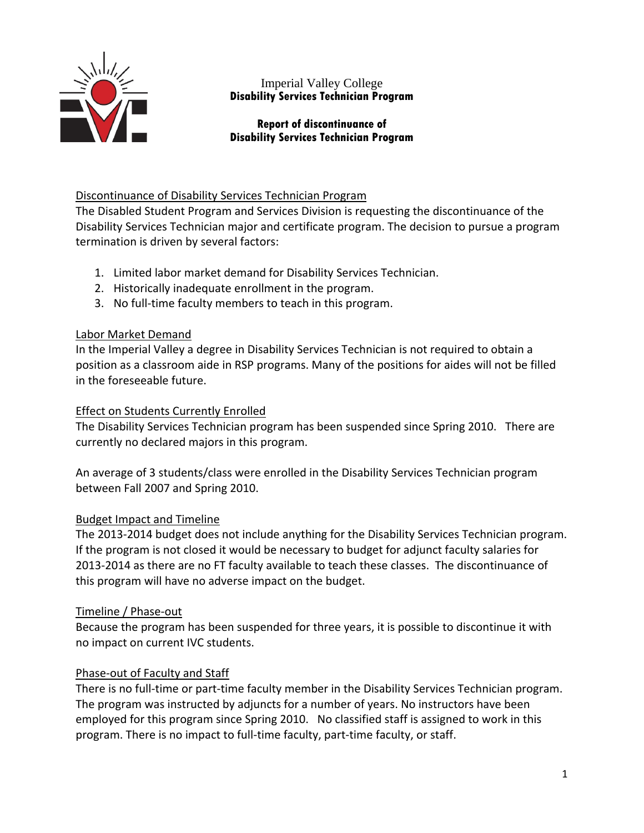

# Imperial Valley College **Disability Services Technician Program**

# **Report of discontinuance of Disability Services Technician Program**

# Discontinuance of Disability Services Technician Program

The Disabled Student Program and Services Division is requesting the discontinuance of the Disability Services Technician major and certificate program. The decision to pursue a program termination is driven by several factors:

- 1. Limited labor market demand for Disability Services Technician.
- 2. Historically inadequate enrollment in the program.
- 3. No full‐time faculty members to teach in this program.

# Labor Market Demand

In the Imperial Valley a degree in Disability Services Technician is not required to obtain a position as a classroom aide in RSP programs. Many of the positions for aides will not be filled in the foreseeable future.

# Effect on Students Currently Enrolled

The Disability Services Technician program has been suspended since Spring 2010. There are currently no declared majors in this program.

An average of 3 students/class were enrolled in the Disability Services Technician program between Fall 2007 and Spring 2010.

# Budget Impact and Timeline

The 2013‐2014 budget does not include anything for the Disability Services Technician program. If the program is not closed it would be necessary to budget for adjunct faculty salaries for 2013‐2014 as there are no FT faculty available to teach these classes. The discontinuance of this program will have no adverse impact on the budget.

# Timeline / Phase‐out

Because the program has been suspended for three years, it is possible to discontinue it with no impact on current IVC students.

# Phase‐out of Faculty and Staff

There is no full-time or part-time faculty member in the Disability Services Technician program. The program was instructed by adjuncts for a number of years. No instructors have been employed for this program since Spring 2010. No classified staff is assigned to work in this program. There is no impact to full‐time faculty, part‐time faculty, or staff.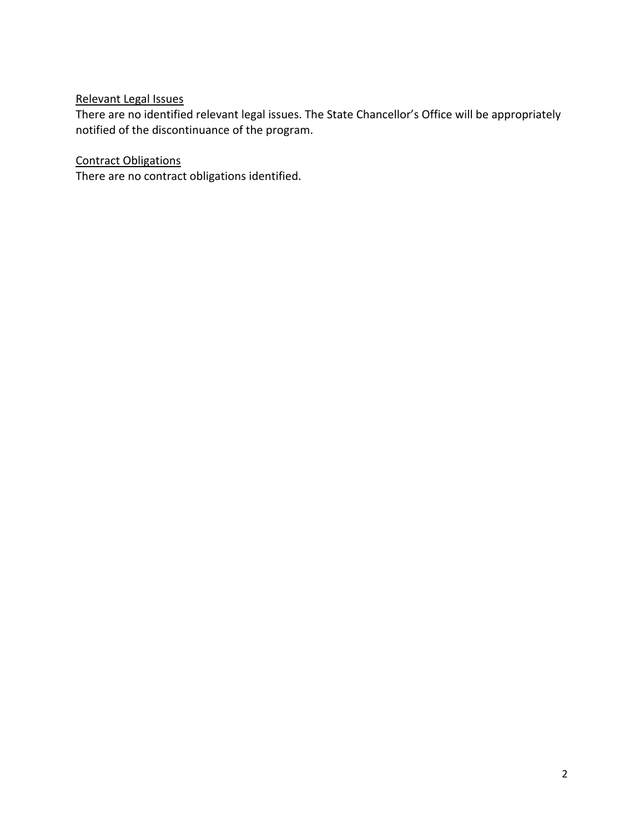# Relevant Legal Issues

There are no identified relevant legal issues. The State Chancellor's Office will be appropriately notified of the discontinuance of the program.

# Contract Obligations

There are no contract obligations identified.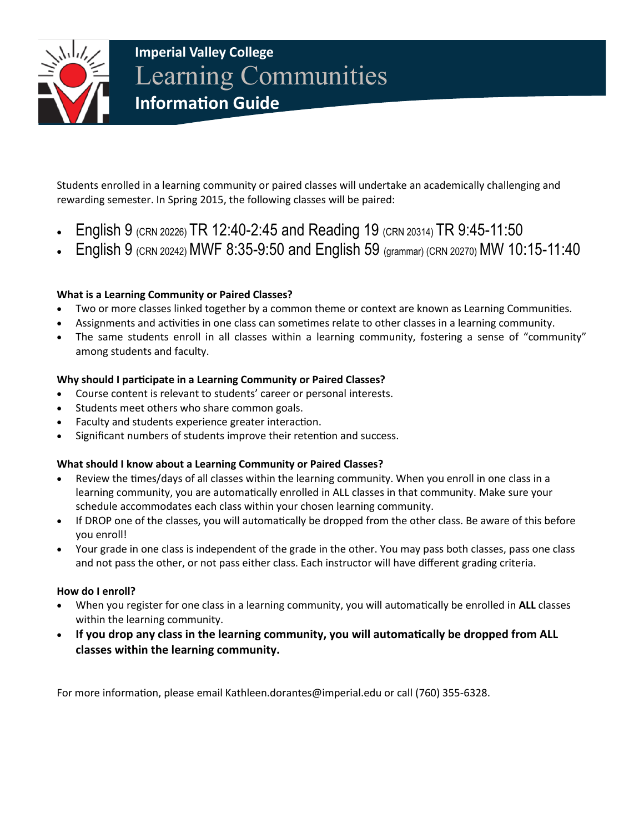

# **Imperial Valley College**  Learning Communities **Information Guide**

Students enrolled in a learning community or paired classes will undertake an academically challenging and rewarding semester. In Spring 2015, the following classes will be paired:

- English 9 (CRN 20226) TR 12:40-2:45 and Reading 19 (CRN 20314) TR 9:45-11:50
- English 9 (CRN 20242) MWF 8:35-9:50 and English 59 (grammar) (CRN 20270) MW 10:15-11:40

# **What is a Learning Community or Paired Classes?**

- Two or more classes linked together by a common theme or context are known as Learning Communities.
- Assignments and activities in one class can sometimes relate to other classes in a learning community.
- The same students enroll in all classes within a learning community, fostering a sense of "community" among students and faculty.

# **Why should I participate in a Learning Community or Paired Classes?**

- Course content is relevant to students' career or personal interests.
- Students meet others who share common goals.
- Faculty and students experience greater interaction.
- Significant numbers of students improve their retention and success.

# **What should I know about a Learning Community or Paired Classes?**

- Review the times/days of all classes within the learning community. When you enroll in one class in a learning community, you are automatically enrolled in ALL classes in that community. Make sure your schedule accommodates each class within your chosen learning community.
- If DROP one of the classes, you will automatically be dropped from the other class. Be aware of this before you enroll!
- Your grade in one class is independent of the grade in the other. You may pass both classes, pass one class and not pass the other, or not pass either class. Each instructor will have different grading criteria.

## **How do I enroll?**

- When you register for one class in a learning community, you will automatically be enrolled in **ALL** classes within the learning community.
- **If you drop any class in the learning community, you will automatically be dropped from ALL classes within the learning community.**

For more information, please email Kathleen.dorantes@imperial.edu or call (760) 355-6328.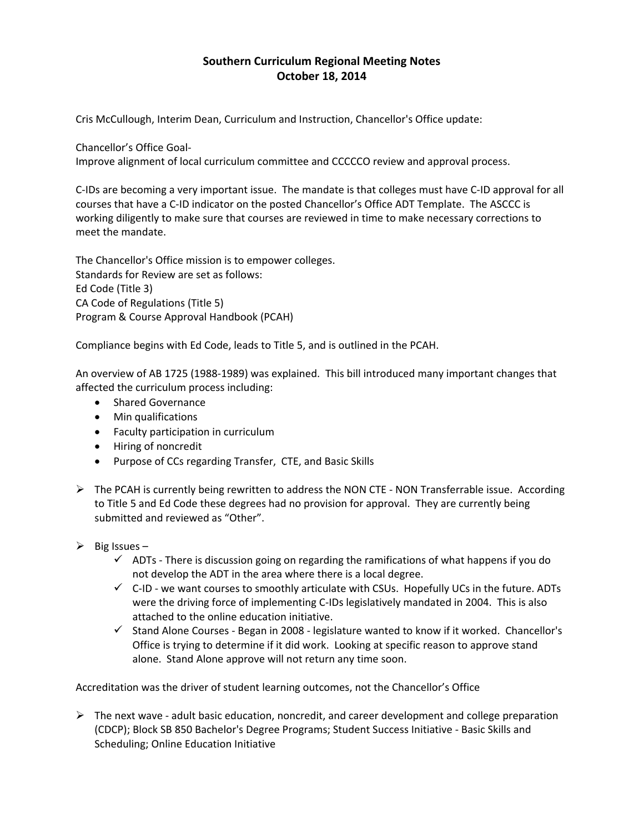# **Southern Curriculum Regional Meeting Notes October 18, 2014**

Cris McCullough, Interim Dean, Curriculum and Instruction, Chancellor's Office update:

Chancellor's Office Goal‐

Improve alignment of local curriculum committee and CCCCCO review and approval process.

C‐IDs are becoming a very important issue. The mandate is that colleges must have C‐ID approval for all courses that have a C‐ID indicator on the posted Chancellor's Office ADT Template. The ASCCC is working diligently to make sure that courses are reviewed in time to make necessary corrections to meet the mandate.

The Chancellor's Office mission is to empower colleges. Standards for Review are set as follows: Ed Code (Title 3) CA Code of Regulations (Title 5) Program & Course Approval Handbook (PCAH)

Compliance begins with Ed Code, leads to Title 5, and is outlined in the PCAH.

An overview of AB 1725 (1988‐1989) was explained. This bill introduced many important changes that affected the curriculum process including:

- Shared Governance
- Min qualifications
- Faculty participation in curriculum
- Hiring of noncredit
- Purpose of CCs regarding Transfer, CTE, and Basic Skills
- $\triangleright$  The PCAH is currently being rewritten to address the NON CTE NON Transferrable issue. According to Title 5 and Ed Code these degrees had no provision for approval. They are currently being submitted and reviewed as "Other".
- $\triangleright$  Big Issues
	- $\checkmark$  ADTs There is discussion going on regarding the ramifications of what happens if you do not develop the ADT in the area where there is a local degree.
	- $\checkmark$  C-ID we want courses to smoothly articulate with CSUs. Hopefully UCs in the future. ADTs were the driving force of implementing C-IDs legislatively mandated in 2004. This is also attached to the online education initiative.
	- $\checkmark$  Stand Alone Courses Began in 2008 legislature wanted to know if it worked. Chancellor's Office is trying to determine if it did work. Looking at specific reason to approve stand alone. Stand Alone approve will not return any time soon.

Accreditation was the driver of student learning outcomes, not the Chancellor's Office

 $\triangleright$  The next wave - adult basic education, noncredit, and career development and college preparation (CDCP); Block SB 850 Bachelor's Degree Programs; Student Success Initiative ‐ Basic Skills and Scheduling; Online Education Initiative